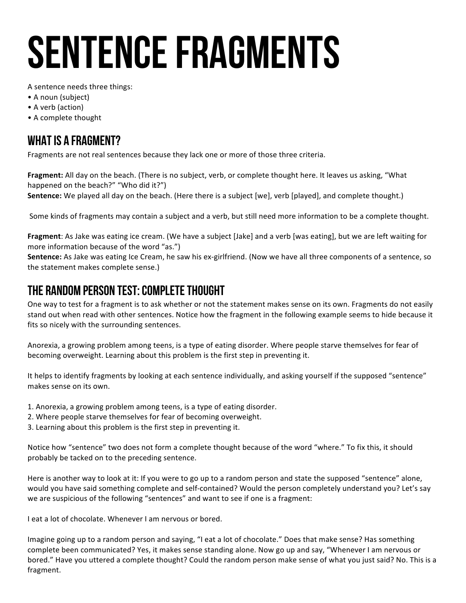# SENTENCE FRAGMENTS

A sentence needs three things:

- A noun (subject)
- A verb (action)
- A complete thought

### WHAT IS A FRAGMENT?

Fragments are not real sentences because they lack one or more of those three criteria.

Fragment: All day on the beach. (There is no subject, verb, or complete thought here. It leaves us asking, "What happened on the beach?" "Who did it?")

**Sentence:** We played all day on the beach. (Here there is a subject [we], verb [played], and complete thought.)

Some kinds of fragments may contain a subject and a verb, but still need more information to be a complete thought.

**Fragment**: As Jake was eating ice cream. (We have a subject [Jake] and a verb [was eating], but we are left waiting for more information because of the word "as.")

**Sentence:** As Jake was eating Ice Cream, he saw his ex-girlfriend. (Now we have all three components of a sentence, so the statement makes complete sense.)

### The Random Person test: Complete Thought

One way to test for a fragment is to ask whether or not the statement makes sense on its own. Fragments do not easily stand out when read with other sentences. Notice how the fragment in the following example seems to hide because it fits so nicely with the surrounding sentences.

Anorexia, a growing problem among teens, is a type of eating disorder. Where people starve themselves for fear of becoming overweight. Learning about this problem is the first step in preventing it.

It helps to identify fragments by looking at each sentence individually, and asking yourself if the supposed "sentence" makes sense on its own.

1. Anorexia, a growing problem among teens, is a type of eating disorder.

- 2. Where people starve themselves for fear of becoming overweight.
- 3. Learning about this problem is the first step in preventing it.

Notice how "sentence" two does not form a complete thought because of the word "where." To fix this, it should probably be tacked on to the preceding sentence.

Here is another way to look at it: If you were to go up to a random person and state the supposed "sentence" alone, would you have said something complete and self-contained? Would the person completely understand you? Let's say we are suspicious of the following "sentences" and want to see if one is a fragment:

I eat a lot of chocolate. Whenever I am nervous or bored.

Imagine going up to a random person and saying, "I eat a lot of chocolate." Does that make sense? Has something complete been communicated? Yes, it makes sense standing alone. Now go up and say, "Whenever I am nervous or bored." Have you uttered a complete thought? Could the random person make sense of what you just said? No. This is a fragment.